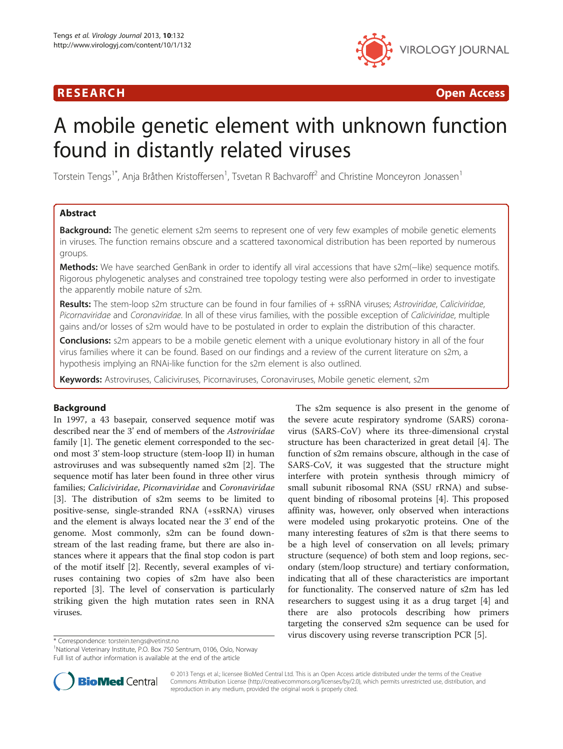# R E S EAR CH Open Access



# A mobile genetic element with unknown function found in distantly related viruses

Torstein Tengs<sup>1\*</sup>, Anja Bråthen Kristoffersen<sup>1</sup>, Tsvetan R Bachvaroff<sup>2</sup> and Christine Monceyron Jonassen<sup>1</sup>

# Abstract

**Background:** The genetic element s2m seems to represent one of very few examples of mobile genetic elements in viruses. The function remains obscure and a scattered taxonomical distribution has been reported by numerous groups.

Methods: We have searched GenBank in order to identify all viral accessions that have s2m(–like) sequence motifs. Rigorous phylogenetic analyses and constrained tree topology testing were also performed in order to investigate the apparently mobile nature of s2m.

Results: The stem-loop s2m structure can be found in four families of + ssRNA viruses; Astroviridae, Caliciviridae, Picornaviridae and Coronaviridae. In all of these virus families, with the possible exception of Caliciviridae, multiple gains and/or losses of s2m would have to be postulated in order to explain the distribution of this character.

**Conclusions:** s2m appears to be a mobile genetic element with a unique evolutionary history in all of the four virus families where it can be found. Based on our findings and a review of the current literature on s2m, a hypothesis implying an RNAi-like function for the s2m element is also outlined.

Keywords: Astroviruses, Caliciviruses, Picornaviruses, Coronaviruses, Mobile genetic element, s2m

# Background

In 1997, a 43 basepair, conserved sequence motif was described near the 3' end of members of the Astroviridae family [[1\]](#page-8-0). The genetic element corresponded to the second most 3' stem-loop structure (stem-loop II) in human astroviruses and was subsequently named s2m [\[2\]](#page-8-0). The sequence motif has later been found in three other virus families; Caliciviridae, Picornaviridae and Coronaviridae [[3\]](#page-8-0). The distribution of s2m seems to be limited to positive-sense, single-stranded RNA (+ssRNA) viruses and the element is always located near the 3' end of the genome. Most commonly, s2m can be found downstream of the last reading frame, but there are also instances where it appears that the final stop codon is part of the motif itself [\[2](#page-8-0)]. Recently, several examples of viruses containing two copies of s2m have also been reported [\[3](#page-8-0)]. The level of conservation is particularly striking given the high mutation rates seen in RNA viruses.

The s2m sequence is also present in the genome of the severe acute respiratory syndrome (SARS) coronavirus (SARS-CoV) where its three-dimensional crystal structure has been characterized in great detail [\[4](#page-8-0)]. The function of s2m remains obscure, although in the case of SARS-CoV, it was suggested that the structure might interfere with protein synthesis through mimicry of small subunit ribosomal RNA (SSU rRNA) and subsequent binding of ribosomal proteins [\[4](#page-8-0)]. This proposed affinity was, however, only observed when interactions were modeled using prokaryotic proteins. One of the many interesting features of s2m is that there seems to be a high level of conservation on all levels; primary structure (sequence) of both stem and loop regions, secondary (stem/loop structure) and tertiary conformation, indicating that all of these characteristics are important for functionality. The conserved nature of s2m has led researchers to suggest using it as a drug target [\[4](#page-8-0)] and there are also protocols describing how primers targeting the conserved s2m sequence can be used for virus discovery using reverse transcription PCR [\[5\]](#page-8-0). \* Correspondence: [torstein.tengs@vetinst.no](mailto:torstein.tengs@vetinst.no) <sup>1</sup>

<sup>&</sup>lt;sup>1</sup>National Veterinary Institute, P.O. Box 750 Sentrum, 0106, Oslo, Norway Full list of author information is available at the end of the article



© 2013 Tengs et al.; licensee BioMed Central Ltd. This is an Open Access article distributed under the terms of the Creative Commons Attribution License [\(http://creativecommons.org/licenses/by/2.0\)](http://creativecommons.org/licenses/by/2.0), which permits unrestricted use, distribution, and reproduction in any medium, provided the original work is properly cited.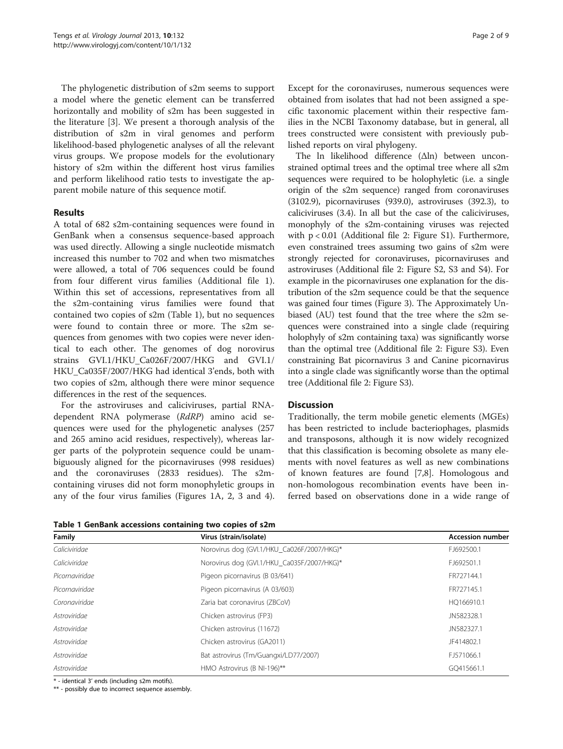<span id="page-1-0"></span>The phylogenetic distribution of s2m seems to support a model where the genetic element can be transferred horizontally and mobility of s2m has been suggested in the literature [\[3\]](#page-8-0). We present a thorough analysis of the distribution of s2m in viral genomes and perform likelihood-based phylogenetic analyses of all the relevant virus groups. We propose models for the evolutionary history of s2m within the different host virus families and perform likelihood ratio tests to investigate the apparent mobile nature of this sequence motif.

# Results

A total of 682 s2m-containing sequences were found in GenBank when a consensus sequence-based approach was used directly. Allowing a single nucleotide mismatch increased this number to 702 and when two mismatches were allowed, a total of 706 sequences could be found from four different virus families (Additional file [1](#page-7-0)). Within this set of accessions, representatives from all the s2m-containing virus families were found that contained two copies of s2m (Table 1), but no sequences were found to contain three or more. The s2m sequences from genomes with two copies were never identical to each other. The genomes of dog norovirus strains GVI.1/HKU\_Ca026F/2007/HKG and GVI.1/ HKU\_Ca035F/2007/HKG had identical 3'ends, both with two copies of s2m, although there were minor sequence differences in the rest of the sequences.

For the astroviruses and caliciviruses, partial RNAdependent RNA polymerase (RdRP) amino acid sequences were used for the phylogenetic analyses (257 and 265 amino acid residues, respectively), whereas larger parts of the polyprotein sequence could be unambiguously aligned for the picornaviruses (998 residues) and the coronaviruses (2833 residues). The s2mcontaining viruses did not form monophyletic groups in any of the four virus families (Figures [1](#page-2-0)A, [2,](#page-3-0) [3](#page-4-0) and [4](#page-5-0)). Except for the coronaviruses, numerous sequences were obtained from isolates that had not been assigned a specific taxonomic placement within their respective families in the NCBI Taxonomy database, but in general, all trees constructed were consistent with previously published reports on viral phylogeny.

The ln likelihood difference (Δln) between unconstrained optimal trees and the optimal tree where all s2m sequences were required to be holophyletic (i.e. a single origin of the s2m sequence) ranged from coronaviruses (3102.9), picornaviruses (939.0), astroviruses (392.3), to caliciviruses (3.4). In all but the case of the caliciviruses, monophyly of the s2m-containing viruses was rejected with p < 0.01 (Additional file [2](#page-7-0): Figure S1). Furthermore, even constrained trees assuming two gains of s2m were strongly rejected for coronaviruses, picornaviruses and astroviruses (Additional file [2:](#page-7-0) Figure S2, S3 and S4). For example in the picornaviruses one explanation for the distribution of the s2m sequence could be that the sequence was gained four times (Figure [3\)](#page-4-0). The Approximately Unbiased (AU) test found that the tree where the s2m sequences were constrained into a single clade (requiring holophyly of s2m containing taxa) was significantly worse than the optimal tree (Additional file [2:](#page-7-0) Figure S3). Even constraining Bat picornavirus 3 and Canine picornavirus into a single clade was significantly worse than the optimal tree (Additional file [2](#page-7-0): Figure S3).

## **Discussion**

Traditionally, the term mobile genetic elements (MGEs) has been restricted to include bacteriophages, plasmids and transposons, although it is now widely recognized that this classification is becoming obsolete as many elements with novel features as well as new combinations of known features are found [[7,8\]](#page-8-0). Homologous and non-homologous recombination events have been inferred based on observations done in a wide range of

Table 1 GenBank accessions containing two copies of s2m

| Family         | Virus (strain/isolate)                     | <b>Accession number</b> |  |
|----------------|--------------------------------------------|-------------------------|--|
| Caliciviridae  | Norovirus dog (GVI.1/HKU_Ca026F/2007/HKG)* | FJ692500.1              |  |
| Caliciviridae  | Norovirus dog (GVI.1/HKU_Ca035F/2007/HKG)* | FJ692501.1              |  |
| Picornaviridae | Pigeon picornavirus (B 03/641)             | FR727144.1              |  |
| Picornaviridae | Pigeon picornavirus (A 03/603)             | FR727145.1              |  |
| Coronaviridae  | Zaria bat coronavirus (ZBCoV)              | HQ166910.1              |  |
| Astroviridae   | Chicken astrovirus (FP3)                   | JN582328.1              |  |
| Astroviridae   | Chicken astrovirus (11672)                 | JN582327.1              |  |
| Astroviridae   | Chicken astrovirus (GA2011)                | JF414802.1              |  |
| Astroviridae   | Bat astrovirus (Tm/Guangxi/LD77/2007)      | FJ571066.1              |  |
| Astroviridae   | HMO Astrovirus (B NI-196)**                | GO415661.1              |  |

\* - identical 3' ends (including s2m motifs).

\*\* - possibly due to incorrect sequence assembly.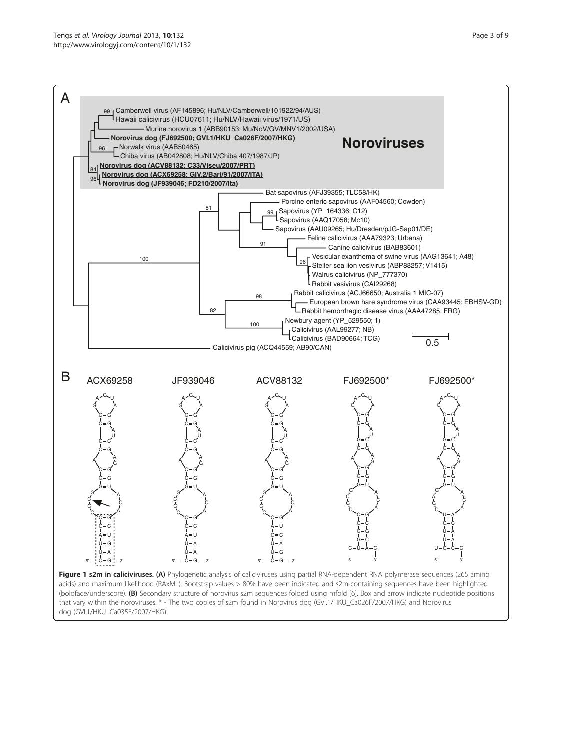<span id="page-2-0"></span>

dog (GVI.1/HKU\_Ca035F/2007/HKG).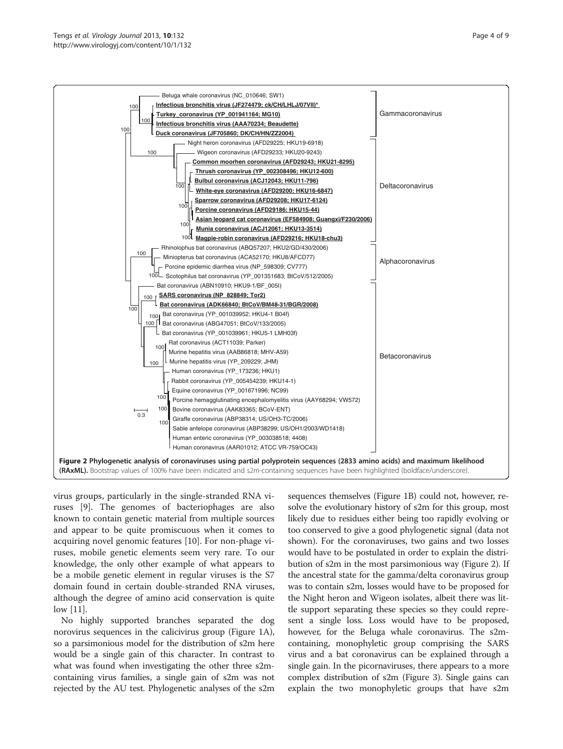<span id="page-3-0"></span>

virus groups, particularly in the single-stranded RNA viruses [[9\]](#page-8-0). The genomes of bacteriophages are also known to contain genetic material from multiple sources and appear to be quite promiscuous when it comes to acquiring novel genomic features [\[10](#page-8-0)]. For non-phage viruses, mobile genetic elements seem very rare. To our knowledge, the only other example of what appears to be a mobile genetic element in regular viruses is the S7 domain found in certain double-stranded RNA viruses, although the degree of amino acid conservation is quite low [\[11](#page-8-0)].

No highly supported branches separated the dog norovirus sequences in the calicivirus group (Figure [1](#page-2-0)A), so a parsimonious model for the distribution of s2m here would be a single gain of this character. In contrast to what was found when investigating the other three s2mcontaining virus families, a single gain of s2m was not rejected by the AU test. Phylogenetic analyses of the s2m

sequences themselves (Figure [1B](#page-2-0)) could not, however, resolve the evolutionary history of s2m for this group, most likely due to residues either being too rapidly evolving or too conserved to give a good phylogenetic signal (data not shown). For the coronaviruses, two gains and two losses would have to be postulated in order to explain the distribution of s2m in the most parsimonious way (Figure 2). If the ancestral state for the gamma/delta coronavirus group was to contain s2m, losses would have to be proposed for the Night heron and Wigeon isolates, albeit there was little support separating these species so they could represent a single loss. Loss would have to be proposed, however, for the Beluga whale coronavirus. The s2mcontaining, monophyletic group comprising the SARS virus and a bat coronavirus can be explained through a single gain. In the picornaviruses, there appears to a more complex distribution of s2m (Figure [3\)](#page-4-0). Single gains can explain the two monophyletic groups that have s2m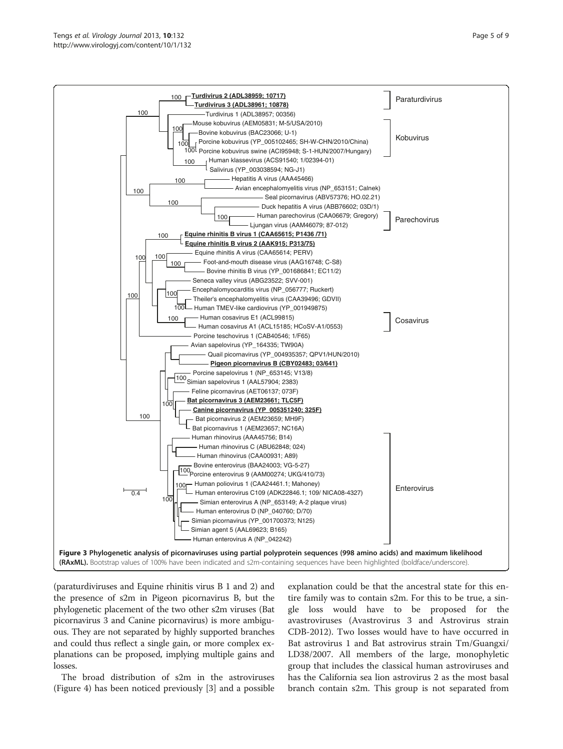<span id="page-4-0"></span>



Simian enterovirus A (NP\_653149; A-2 plaque virus)

Human enterovirus C109 (ADK22846.1; 109/ NICA08-4327)

Human rhinovirus (CAA00931; A89)

Human enterovirus D (NP\_040760; D/70)

Simian picornavirus (YP\_001700373; N125)

Human enterovirus A (NP\_042242)

Simian agent 5 (AAL69623; B165)

Human poliovirus 1 (CAA24461.1; Mahoney)

Porcine enterovirus 9 (AAM00274; UKG/410/73) 100

Bovine enterovirus (BAA24003; VG-5-27)

Human rhinovirus C (ABU62848; 024)

(paraturdiviruses and Equine rhinitis virus B 1 and 2) and the presence of s2m in Pigeon picornavirus B, but the phylogenetic placement of the two other s2m viruses (Bat picornavirus 3 and Canine picornavirus) is more ambiguous. They are not separated by highly supported branches and could thus reflect a single gain, or more complex explanations can be proposed, implying multiple gains and losses.

100

100

 $\overline{0.4}$ 

The broad distribution of s2m in the astroviruses (Figure [4\)](#page-5-0) has been noticed previously [[3\]](#page-8-0) and a possible

explanation could be that the ancestral state for this entire family was to contain s2m. For this to be true, a single loss would have to be proposed for the avastroviruses (Avastrovirus 3 and Astrovirus strain CDB-2012). Two losses would have to have occurred in Bat astrovirus 1 and Bat astrovirus strain Tm/Guangxi/ LD38/2007. All members of the large, monophyletic group that includes the classical human astroviruses and has the California sea lion astrovirus 2 as the most basal branch contain s2m. This group is not separated from

**Enterovirus**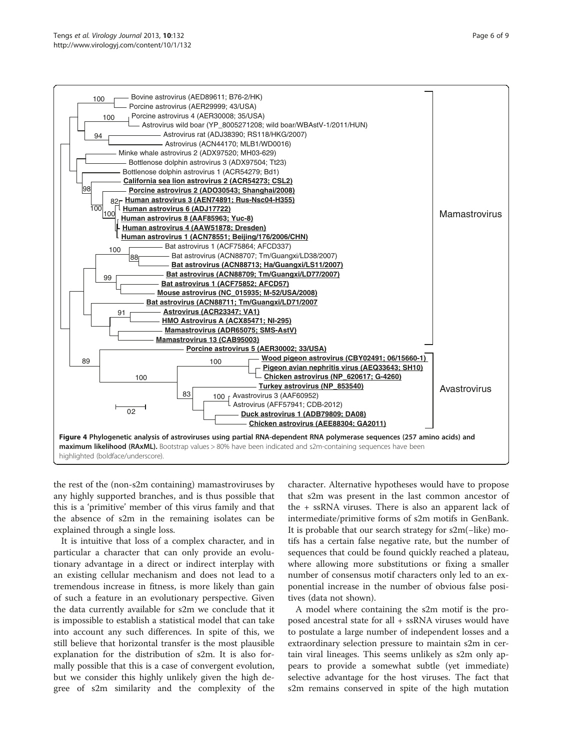<span id="page-5-0"></span>

the rest of the (non-s2m containing) mamastroviruses by any highly supported branches, and is thus possible that this is a 'primitive' member of this virus family and that the absence of s2m in the remaining isolates can be explained through a single loss.

It is intuitive that loss of a complex character, and in particular a character that can only provide an evolutionary advantage in a direct or indirect interplay with an existing cellular mechanism and does not lead to a tremendous increase in fitness, is more likely than gain of such a feature in an evolutionary perspective. Given the data currently available for s2m we conclude that it is impossible to establish a statistical model that can take into account any such differences. In spite of this, we still believe that horizontal transfer is the most plausible explanation for the distribution of s2m. It is also formally possible that this is a case of convergent evolution, but we consider this highly unlikely given the high degree of s2m similarity and the complexity of the character. Alternative hypotheses would have to propose that s2m was present in the last common ancestor of the + ssRNA viruses. There is also an apparent lack of intermediate/primitive forms of s2m motifs in GenBank. It is probable that our search strategy for s2m(−like) motifs has a certain false negative rate, but the number of sequences that could be found quickly reached a plateau, where allowing more substitutions or fixing a smaller number of consensus motif characters only led to an exponential increase in the number of obvious false positives (data not shown).

A model where containing the s2m motif is the proposed ancestral state for all + ssRNA viruses would have to postulate a large number of independent losses and a extraordinary selection pressure to maintain s2m in certain viral lineages. This seems unlikely as s2m only appears to provide a somewhat subtle (yet immediate) selective advantage for the host viruses. The fact that s2m remains conserved in spite of the high mutation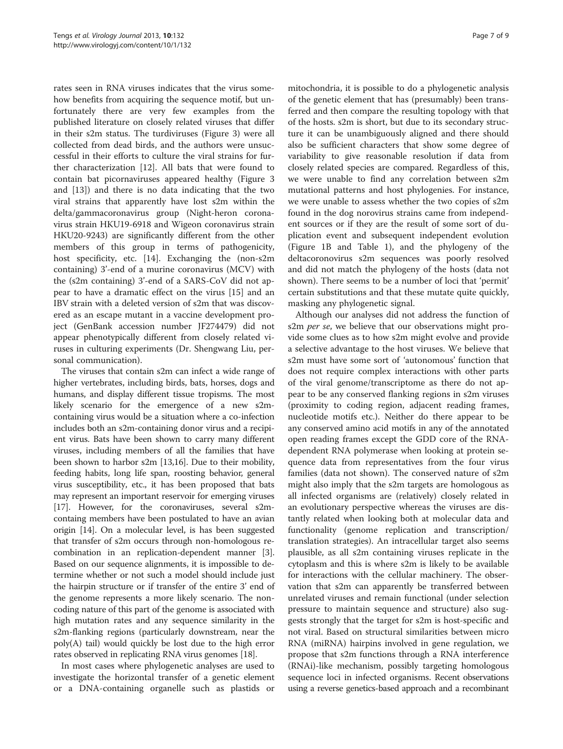rates seen in RNA viruses indicates that the virus somehow benefits from acquiring the sequence motif, but unfortunately there are very few examples from the published literature on closely related viruses that differ in their s2m status. The turdiviruses (Figure [3\)](#page-4-0) were all collected from dead birds, and the authors were unsuccessful in their efforts to culture the viral strains for further characterization [\[12\]](#page-8-0). All bats that were found to contain bat picornaviruses appeared healthy (Figure [3](#page-4-0) and [\[13](#page-8-0)]) and there is no data indicating that the two viral strains that apparently have lost s2m within the delta/gammacoronavirus group (Night-heron coronavirus strain HKU19-6918 and Wigeon coronavirus strain HKU20-9243) are significantly different from the other members of this group in terms of pathogenicity, host specificity, etc. [[14\]](#page-8-0). Exchanging the (non-s2m containing) 3'-end of a murine coronavirus (MCV) with the (s2m containing) 3'-end of a SARS-CoV did not appear to have a dramatic effect on the virus [[15\]](#page-8-0) and an IBV strain with a deleted version of s2m that was discovered as an escape mutant in a vaccine development project (GenBank accession number JF274479) did not appear phenotypically different from closely related viruses in culturing experiments (Dr. Shengwang Liu, personal communication).

The viruses that contain s2m can infect a wide range of higher vertebrates, including birds, bats, horses, dogs and humans, and display different tissue tropisms. The most likely scenario for the emergence of a new s2mcontaining virus would be a situation where a co-infection includes both an s2m-containing donor virus and a recipient virus. Bats have been shown to carry many different viruses, including members of all the families that have been shown to harbor s2m [[13,16\]](#page-8-0). Due to their mobility, feeding habits, long life span, roosting behavior, general virus susceptibility, etc., it has been proposed that bats may represent an important reservoir for emerging viruses [[17](#page-8-0)]. However, for the coronaviruses, several s2mcontaing members have been postulated to have an avian origin [\[14](#page-8-0)]. On a molecular level, is has been suggested that transfer of s2m occurs through non-homologous recombination in an replication-dependent manner [[3](#page-8-0)]. Based on our sequence alignments, it is impossible to determine whether or not such a model should include just the hairpin structure or if transfer of the entire 3' end of the genome represents a more likely scenario. The noncoding nature of this part of the genome is associated with high mutation rates and any sequence similarity in the s2m-flanking regions (particularly downstream, near the poly(A) tail) would quickly be lost due to the high error rates observed in replicating RNA virus genomes [\[18](#page-8-0)].

In most cases where phylogenetic analyses are used to investigate the horizontal transfer of a genetic element or a DNA-containing organelle such as plastids or

mitochondria, it is possible to do a phylogenetic analysis of the genetic element that has (presumably) been transferred and then compare the resulting topology with that of the hosts. s2m is short, but due to its secondary structure it can be unambiguously aligned and there should also be sufficient characters that show some degree of variability to give reasonable resolution if data from closely related species are compared. Regardless of this, we were unable to find any correlation between s2m mutational patterns and host phylogenies. For instance, we were unable to assess whether the two copies of s2m found in the dog norovirus strains came from independent sources or if they are the result of some sort of duplication event and subsequent independent evolution (Figure [1B](#page-2-0) and Table [1\)](#page-1-0), and the phylogeny of the deltacoronovirus s2m sequences was poorly resolved and did not match the phylogeny of the hosts (data not shown). There seems to be a number of loci that 'permit' certain substitutions and that these mutate quite quickly, masking any phylogenetic signal.

Although our analyses did not address the function of s2m *per se*, we believe that our observations might provide some clues as to how s2m might evolve and provide a selective advantage to the host viruses. We believe that s2m must have some sort of 'autonomous' function that does not require complex interactions with other parts of the viral genome/transcriptome as there do not appear to be any conserved flanking regions in s2m viruses (proximity to coding region, adjacent reading frames, nucleotide motifs etc.). Neither do there appear to be any conserved amino acid motifs in any of the annotated open reading frames except the GDD core of the RNAdependent RNA polymerase when looking at protein sequence data from representatives from the four virus families (data not shown). The conserved nature of s2m might also imply that the s2m targets are homologous as all infected organisms are (relatively) closely related in an evolutionary perspective whereas the viruses are distantly related when looking both at molecular data and functionality (genome replication and transcription/ translation strategies). An intracellular target also seems plausible, as all s2m containing viruses replicate in the cytoplasm and this is where s2m is likely to be available for interactions with the cellular machinery. The observation that s2m can apparently be transferred between unrelated viruses and remain functional (under selection pressure to maintain sequence and structure) also suggests strongly that the target for s2m is host-specific and not viral. Based on structural similarities between micro RNA (miRNA) hairpins involved in gene regulation, we propose that s2m functions through a RNA interference (RNAi)-like mechanism, possibly targeting homologous sequence loci in infected organisms. Recent observations using a reverse genetics-based approach and a recombinant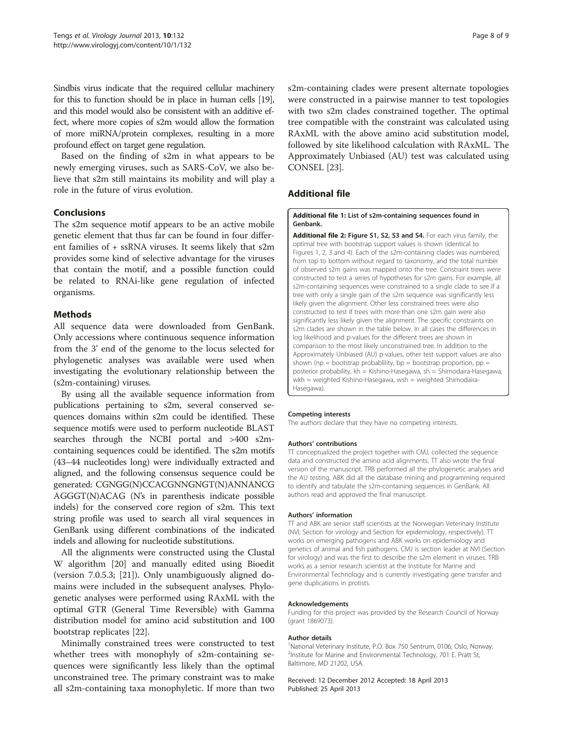<span id="page-7-0"></span>Sindbis virus indicate that the required cellular machinery for this to function should be in place in human cells [\[19](#page-8-0)], and this model would also be consistent with an additive effect, where more copies of s2m would allow the formation of more miRNA/protein complexes, resulting in a more profound effect on target gene regulation.

Based on the finding of s2m in what appears to be newly emerging viruses, such as SARS-CoV, we also believe that s2m still maintains its mobility and will play a role in the future of virus evolution.

# Conclusions

The s2m sequence motif appears to be an active mobile genetic element that thus far can be found in four different families of + ssRNA viruses. It seems likely that s2m provides some kind of selective advantage for the viruses that contain the motif, and a possible function could be related to RNAi-like gene regulation of infected organisms.

# Methods

All sequence data were downloaded from GenBank. Only accessions where continuous sequence information from the 3' end of the genome to the locus selected for phylogenetic analyses was available were used when investigating the evolutionary relationship between the (s2m-containing) viruses.

By using all the available sequence information from publications pertaining to s2m, several conserved sequences domains within s2m could be identified. These sequence motifs were used to perform nucleotide BLAST searches through the NCBI portal and >400 s2mcontaining sequences could be identified. The s2m motifs (43–44 nucleotides long) were individually extracted and aligned, and the following consensus sequence could be generated: CGNGG(N)CCACGNNGNGT(N)ANNANCG AGGGT(N)ACAG (N's in parenthesis indicate possible indels) for the conserved core region of s2m. This text string profile was used to search all viral sequences in GenBank using different combinations of the indicated indels and allowing for nucleotide substitutions.

All the alignments were constructed using the Clustal W algorithm [[20\]](#page-8-0) and manually edited using Bioedit (version 7.0.5.3; [\[21](#page-8-0)]). Only unambiguously aligned domains were included in the subsequent analyses. Phylogenetic analyses were performed using RAxML with the optimal GTR (General Time Reversible) with Gamma distribution model for amino acid substitution and 100 bootstrap replicates [\[22\]](#page-8-0).

Minimally constrained trees were constructed to test whether trees with monophyly of s2m-containing sequences were significantly less likely than the optimal unconstrained tree. The primary constraint was to make all s2m-containing taxa monophyletic. If more than two

s2m-containing clades were present alternate topologies were constructed in a pairwise manner to test topologies with two s2m clades constrained together. The optimal tree compatible with the constraint was calculated using RAxML with the above amino acid substitution model, followed by site likelihood calculation with RAxML. The Approximately Unbiased (AU) test was calculated using CONSEL [[23\]](#page-8-0).

# Additional file

[Additional file 1:](http://www.biomedcentral.com/content/supplementary/1743-422X-10-132-S1.xls) List of s2m-containing sequences found in Genbank.

[Additional file 2:](http://www.biomedcentral.com/content/supplementary/1743-422X-10-132-S2.doc) Figure S1, S2, S3 and S4. For each virus family, the optimal tree with bootstrap support values is shown (identical to Figures [1](#page-2-0), [2](#page-3-0), [3](#page-4-0) and [4](#page-5-0)). Each of the s2m-containing clades was numbered, from top to bottom without regard to taxonomy, and the total number of observed s2m gains was mapped onto the tree. Constraint trees were constructed to test a series of hypotheses for s2m gains. For example, all s2m-containing sequences were constrained to a single clade to see if a tree with only a single gain of the s2m sequence was significantly less likely given the alignment. Other less constrained trees were also constructed to test if trees with more than one s2m gain were also significantly less likely given the alignment. The specific constraints on s2m clades are shown in the table below. In all cases the differences in log likelihood and p-values for the different trees are shown in comparison to the most likely unconstrained tree. In addition to the Approximately Unbiased (AU) p-values, other test support values are also shown ( $np = 6$  bootstrap probability,  $bp = 6$  bootstrap proportion,  $pp = 6$ posterior probability, kh = Kishino-Hasegawa, sh = Shimodaira-Hasegawa, wkh = weighted Kishino-Hasegawa, wsh = weighted Shimodaira-Hasegawa).

#### Competing interests

The authors declare that they have no competing interests.

#### Authors' contributions

TT conceptualized the project together with CMJ, collected the sequence data and constructed the amino acid alignments. TT also wrote the final version of the manuscript. TRB performed all the phylogenetic analyses and the AU testing. ABK did all the database mining and programming required to identify and tabulate the s2m-containing sequences in GenBank. All authors read and approved the final manuscript.

#### Authors' information

TT and ABK are senior staff scientists at the Norwegian Veterinary Institute (NVI; Section for virology and Section for epidemiology, respectively). TT works on emerging pathogens and ABK works on epidemiology and genetics of animal and fish pathogens. CMJ is section leader at NVI (Section for virology) and was the first to describe the s2m element in viruses. TRB works as a senior research scientist at the Institute for Marine and Environmental Technology and is currently investigating gene transfer and gene duplications in protists.

#### Acknowledgements

Funding for this project was provided by the Research Council of Norway (grant 1869073).

#### Author details

<sup>1</sup>National Veterinary Institute, P.O. Box 750 Sentrum, 0106, Oslo, Norway. <sup>2</sup>Institute for Marine and Environmental Technology, 701 E. Pratt St, Baltimore, MD 21202, USA.

Received: 12 December 2012 Accepted: 18 April 2013 Published: 25 April 2013